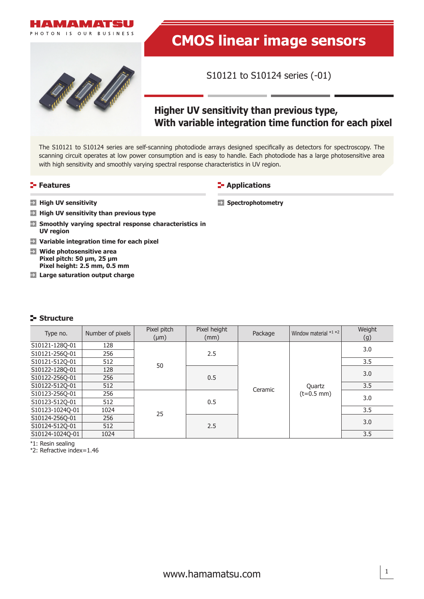



# **CMOS linear image sensors**

S10121 to S10124 series (-01)

# **Higher UV sensitivity than previous type, With variable integration time function for each pixel**

The S10121 to S10124 series are self-scanning photodiode arrays designed specifically as detectors for spectroscopy. The scanning circuit operates at low power consumption and is easy to handle. Each photodiode has a large photosensitive area with high sensitivity and smoothly varying spectral response characteristics in UV region.

# **Features**

#### **E-** Applications

**Spectrophotometry**

- **High UV sensitivity**
- **High UV sensitivity than previous type**
- **Smoothly varying spectral response characteristics in UV region**
- **Variable integration time for each pixel**
- **Wide photosensitive area Pixel pitch: 50 µm, 25 µm Pixel height: 2.5 mm, 0.5 mm**
- **Large saturation output charge**

#### **Structure**

| Type no.        | Number of pixels | Pixel pitch<br>$(\mu m)$ | Pixel height<br>(mm) | Package | Window material *1 *2  | Weight<br>(g) |
|-----------------|------------------|--------------------------|----------------------|---------|------------------------|---------------|
| S10121-1280-01  | 128              |                          | 2.5                  | Ceramic | Quartz<br>$(t=0.5$ mm) | 3.0           |
| S10121-256Q-01  | 256              |                          |                      |         |                        |               |
| S10121-512Q-01  | 512              | 50                       |                      |         |                        | 3.5           |
| S10122-128Q-01  | 128              |                          | 0.5                  |         |                        | 3.0           |
| S10122-2560-01  | 256              |                          |                      |         |                        |               |
| S10122-512Q-01  | 512              |                          |                      |         |                        | 3.5           |
| S10123-256Q-01  | 256              |                          | 0.5                  |         |                        | 3.0           |
| S10123-512Q-01  | 512              |                          |                      |         |                        |               |
| S10123-1024Q-01 | 1024             | 25                       |                      |         |                        | 3.5           |
| S10124-256Q-01  | 256              |                          | 2.5                  |         |                        | 3.0           |
| S10124-512Q-01  | 512              |                          |                      |         |                        |               |
| S10124-1024O-01 | 1024             |                          |                      |         |                        | 3.5           |

\*1: Resin sealing

\*2: Refractive index=1.46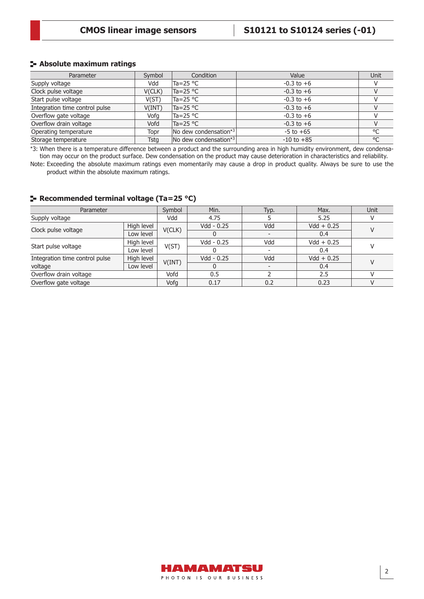#### **Absolute maximum ratings**

| Parameter                      | Symbol | Condition                                 | Value          | Unit         |
|--------------------------------|--------|-------------------------------------------|----------------|--------------|
| Supply voltage                 | Vdd    | Ta=25 $^{\circ}$ C                        | $-0.3$ to $+6$ |              |
| Clock pulse voltage            | V(CLK) | $Ta = 25 °C$                              | $-0.3$ to $+6$ |              |
| Start pulse voltage            | V(ST)  | Ta=25 °C                                  | $-0.3$ to $+6$ |              |
| Integration time control pulse | V(INT) | $Ta = 25 °C$                              | $-0.3$ to $+6$ |              |
| Overflow gate voltage          | Vofa   | Ta=25 °C                                  | $-0.3$ to $+6$ |              |
| Overflow drain voltage         | Vofd   | $Ta = 25 °C$                              | $-0.3$ to $+6$ |              |
| Operating temperature          | Topr   | $\sqrt{N}$ dew condensation <sup>*3</sup> | $-5$ to $+65$  | $\circ$      |
| Storage temperature            | Tsta   | No dew condensation*3                     | $-10$ to $+85$ | $^{\circ}$ C |

\*3: When there is a temperature difference between a product and the surrounding area in high humidity environment, dew condensation may occur on the product surface. Dew condensation on the product may cause deterioration in characteristics and reliability.

Note: Exceeding the absolute maximum ratings even momentarily may cause a drop in product quality. Always be sure to use the product within the absolute maximum ratings.

| Parameter                                    | Symbol     | Min.   | Typ.         | Max. | Unit         |  |  |
|----------------------------------------------|------------|--------|--------------|------|--------------|--|--|
| Supply voltage                               | Vdd        | 4.75   |              | 5.25 |              |  |  |
|                                              | High level | V(CLK) | Vdd - 0.25   | Vdd  | $Vdd + 0.25$ |  |  |
| Clock pulse voltage                          | Low level  |        |              |      | 0.4          |  |  |
|                                              | High level |        | Vdd - 0.25   | Vdd  | $Vdd + 0.25$ |  |  |
| Start pulse voltage                          | Low level  | V(ST)  |              |      | 0.4          |  |  |
| High level<br>Integration time control pulse |            | V(INT) | $Vdd - 0.25$ | Vdd  | $Vdd + 0.25$ |  |  |
| Low level<br>voltage                         |            |        |              |      | 0.4          |  |  |
| Overflow drain voltage                       |            | Vofd   | 0.5          |      | 2.5          |  |  |
| Overflow gate voltage                        |            | Vofg   | 0.17         | 0.2  | 0.23         |  |  |

## **Recommended terminal voltage (Ta=25 °C)**

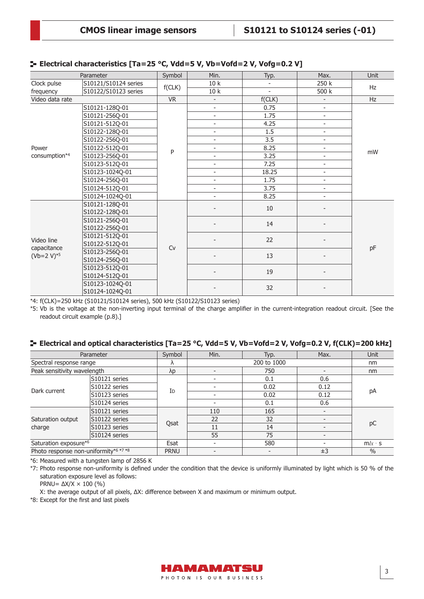|                 | Parameter            | Symbol    | Min.                     | Typ.                     | Max.                     | <b>Unit</b> |  |
|-----------------|----------------------|-----------|--------------------------|--------------------------|--------------------------|-------------|--|
| Clock pulse     | S10121/S10124 series |           | 10k                      |                          | 250 k                    | <b>Hz</b>   |  |
| frequency       | S10122/S10123 series | f(CLK)    | 10k                      | $\overline{\phantom{0}}$ | 500 k                    |             |  |
| Video data rate |                      | <b>VR</b> | $\overline{\phantom{a}}$ | f(CLK)                   | $\overline{\phantom{a}}$ | Hz          |  |
|                 | S10121-128Q-01       |           | $\overline{\phantom{0}}$ | 0.75                     | $\overline{\phantom{a}}$ | mW          |  |
|                 | S10121-256Q-01       |           | $\overline{\phantom{a}}$ | 1.75                     | $\blacksquare$           |             |  |
|                 | S10121-512Q-01       |           | $\overline{\phantom{0}}$ | 4.25                     | $\overline{\phantom{a}}$ |             |  |
|                 | S10122-128Q-01       |           | $\overline{\phantom{0}}$ | 1.5                      | $\overline{\phantom{a}}$ |             |  |
|                 | S10122-256Q-01       |           | $\overline{\phantom{a}}$ | 3.5                      | $\overline{\phantom{a}}$ |             |  |
| Power           | S10122-512Q-01       | P         | ÷                        | 8.25                     | $\overline{\phantom{a}}$ |             |  |
| consumption*4   | S10123-256Q-01       |           | $\overline{\phantom{0}}$ | 3.25                     | $\overline{\phantom{a}}$ |             |  |
|                 | S10123-512Q-01       |           | $\overline{\phantom{a}}$ | 7.25                     | $\overline{\phantom{a}}$ |             |  |
|                 | S10123-1024Q-01      |           | ÷                        | 18.25                    | $\overline{\phantom{a}}$ |             |  |
|                 | S10124-256Q-01       |           | $\overline{\phantom{0}}$ | 1.75                     | $\overline{\phantom{a}}$ |             |  |
|                 | S10124-512Q-01       |           | $\overline{\phantom{0}}$ | 3.75                     | $\overline{\phantom{a}}$ |             |  |
|                 | S10124-1024Q-01      |           |                          | 8.25                     | $\overline{\phantom{a}}$ |             |  |
|                 | S10121-128Q-01       |           |                          | 10                       |                          |             |  |
|                 | S10122-128Q-01       |           |                          |                          |                          |             |  |
|                 | S10121-256Q-01       |           |                          | 14                       |                          |             |  |
|                 | S10122-256Q-01       |           |                          |                          |                          |             |  |
| Video line      | S10121-512Q-01       |           |                          | 22                       |                          |             |  |
| capacitance     | S10122-512Q-01       | Cv        |                          |                          |                          | pF          |  |
| $(Vb=2 V)^{*5}$ | S10123-256Q-01       |           |                          | 13                       |                          |             |  |
|                 | S10124-256Q-01       |           |                          |                          |                          |             |  |
|                 | S10123-512Q-01       |           |                          | 19                       |                          |             |  |
|                 | S10124-512Q-01       |           |                          |                          |                          |             |  |
|                 | S10123-1024Q-01      |           |                          | 32                       |                          |             |  |
|                 | S10124-1024Q-01      |           |                          |                          |                          |             |  |

#### **Electrical characteristics [Ta=25 °C, Vdd=5 V, Vb=Vofd=2 V, Vofg=0.2 V]**

\*4: f(CLK)=250 kHz (S10121/S10124 series), 500 kHz (S10122/S10123 series)

\*5: Vb is the voltage at the non-inverting input terminal of the charge amplifier in the current-integration readout circuit. [See the readout circuit example (p.8).]

#### **Electrical and optical characteristics [Ta=25 °C, Vdd=5 V, Vb=Vofd=2 V, Vofg=0.2 V, f(CLK)=200 kHz]**

| Parameter                             |               | Symbol      | Min. | Typ. | Max.                     | Unit          |
|---------------------------------------|---------------|-------------|------|------|--------------------------|---------------|
| Spectral response range               |               | $\Lambda$   |      | nm   |                          |               |
| Peak sensitivity wavelength           |               | $\lambda p$ | 750  |      |                          | nm            |
|                                       | S10121 series | ID          |      | 0.1  | 0.6                      | pA<br>pC      |
| Dark current                          | S10122 series |             |      | 0.02 | 0.12                     |               |
|                                       | S10123 series |             |      | 0.02 | 0.12                     |               |
|                                       | S10124 series |             |      | 0.1  | 0.6                      |               |
| Saturation output<br>charge           | S10121 series | Qsat        | 110  | 165  | -                        |               |
|                                       | S10122 series |             | 22   | 32   | $\blacksquare$           |               |
|                                       | S10123 series |             | 11   | 14   |                          |               |
|                                       | S10124 series |             | 55   | 75   | -                        |               |
| Saturation exposure*6                 |               | Esat        |      | 580  | $\overline{\phantom{a}}$ | $m/x \cdot s$ |
| Photo response non-uniformity*6 *7 *8 |               | <b>PRNU</b> |      |      | $\pm$ 3                  | $\frac{0}{0}$ |

\*6: Measured with a tungsten lamp of 2856 K

\*7: Photo response non-uniformity is defined under the condition that the device is uniformly illuminated by light which is 50 % of the saturation exposure level as follows:

PRNU=  $\Delta$ X/X  $\times$  100 (%)

X: the average output of all pixels, ΔX: difference between X and maximum or minimum output.

\*8: Except for the first and last pixels

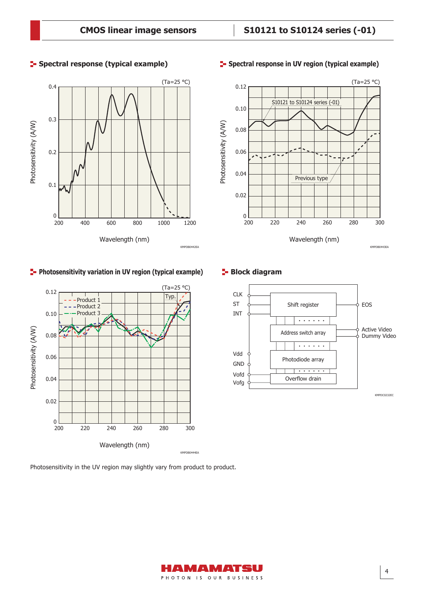

## **Photosensitivity variation in UV region (typical example)**



Photosensitivity in the UV region may slightly vary from product to product.



#### **Spectral response (typical example) Spectral response in UV region (typical example)**



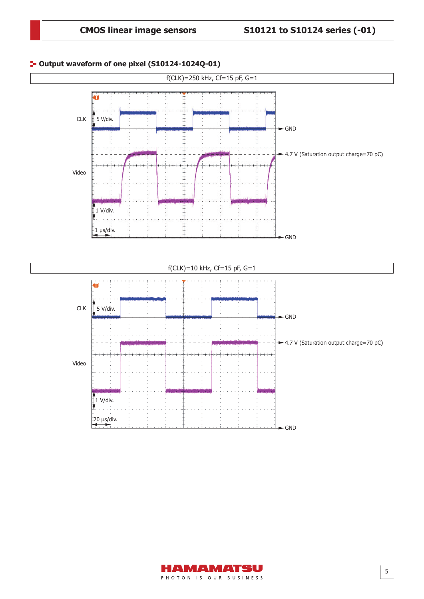# **Output waveform of one pixel (S10124-1024Q-01)**



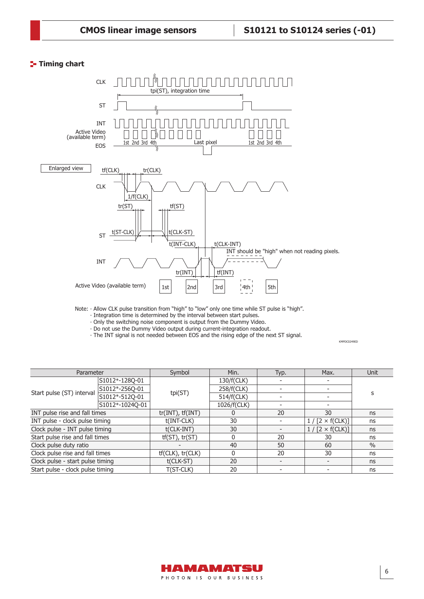# **T**- Timing chart



Note:  $\cdot$  Allow CLK pulse transition from "high" to "low" only one time while ST pulse is "high".

⸱ Integration time is determined by the interval between start pulses.

⸱ Only the switching noise component is output from the Dummy Video.

⸱ Do not use the Dummy Video output during current-integration readout.

⸱ The INT signal is not needed between EOS and the rising edge of the next ST signal.

| Parameter                        |                 | Symbol                | Min.        | Typ. | Max.                  | Unit          |
|----------------------------------|-----------------|-----------------------|-------------|------|-----------------------|---------------|
|                                  | S1012*-128Q-01  |                       | 130/f(CLK)  |      |                       | S             |
|                                  | S1012*-256Q-01  |                       | 258/f(CLK)  |      |                       |               |
| Start pulse (ST) interval        | S1012*-512Q-01  | tpi(ST)               | 514/f(CLK)  |      |                       |               |
|                                  | S1012*-1024Q-01 |                       | 1026/f(CLK) |      |                       |               |
| INT pulse rise and fall times    |                 | $tr(INT)$ , $tf(INT)$ | 0           | 20   | 30                    | ns            |
| INT pulse - clock pulse timing   |                 | $t(INT-CLK)$          | 30          |      | $1/[2 \times f(CLK)]$ | ns            |
| Clock pulse - INT pulse timing   |                 | t(CLK-INT)            | 30          |      | $1/[2 \times f(CLK)]$ | ns            |
| Start pulse rise and fall times  |                 | $tf(ST)$ , $tr(ST)$   | 0           | 20   | 30                    | ns            |
| Clock pulse duty ratio           |                 |                       | 40          | 50   | 60                    | $\frac{0}{0}$ |
| Clock pulse rise and fall times  |                 | $tf(CLK)$ , $tr(CLK)$ | $\Omega$    | 20   | 30                    | ns            |
| Clock pulse - start pulse timing |                 | t(CLK-ST)             | 20          |      |                       | ns            |
| Start pulse - clock pulse timing |                 | T(ST-CLK)             | 20          |      |                       | ns            |



KMPDC0249ED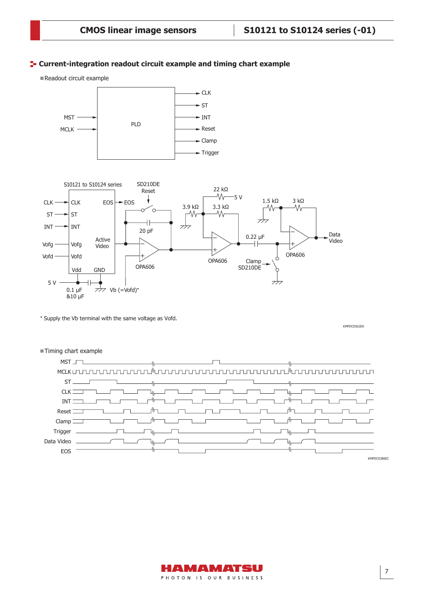## **F** Current-integration readout circuit example and timing chart example

Readout circuit example





\* Supply the Vb terminal with the same voltage as Vofd.

KMPDC0562EA



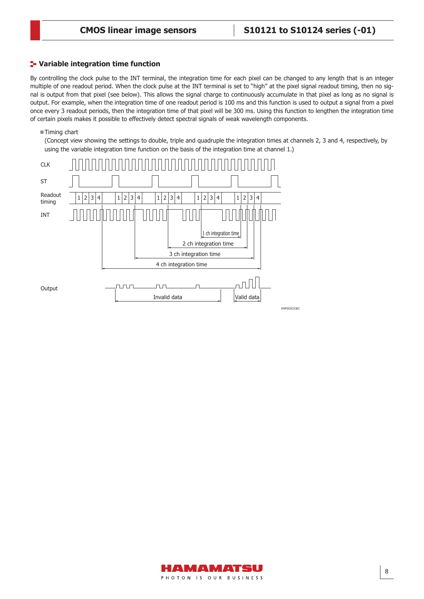#### **Variable integration time function**

By controlling the clock pulse to the INT terminal, the integration time for each pixel can be changed to any length that is an integer multiple of one readout period. When the clock pulse at the INT terminal is set to "high" at the pixel signal readout timing, then no signal is output from that pixel (see below). This allows the signal charge to continuously accumulate in that pixel as long as no signal is output. For example, when the integration time of one readout period is 100 ms and this function is used to output a signal from a pixel once every 3 readout periods, then the integration time of that pixel will be 300 ms. Using this function to lengthen the integration time of certain pixels makes it possible to effectively detect spectral signals of weak wavelength components.

■Timing chart

(Concept view showing the settings to double, triple and quadruple the integration times at channels 2, 3 and 4, respectively, by using the variable integration time function on the basis of the integration time at channel 1.)



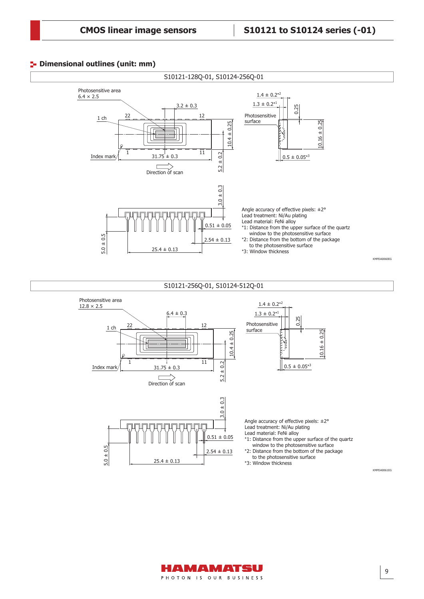#### **<sup>1</sup>-** Dimensional outlines (unit: mm)



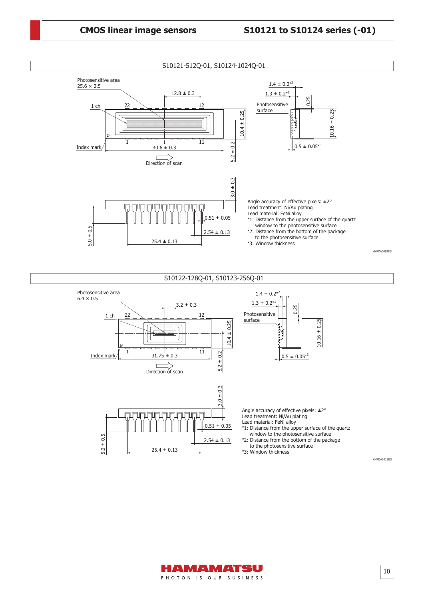

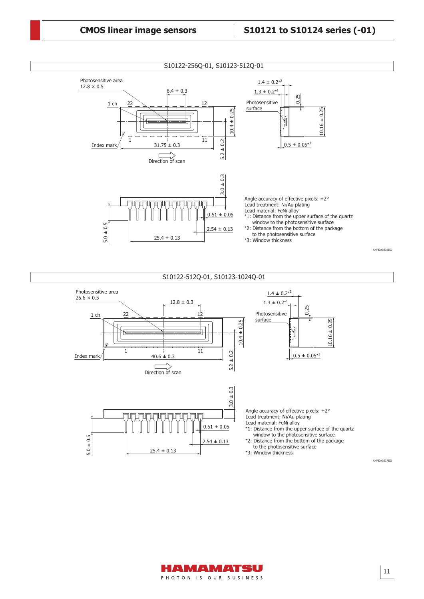

\*3: Window thickness

KMPDA0217EG



 $25.4 \pm 0.13$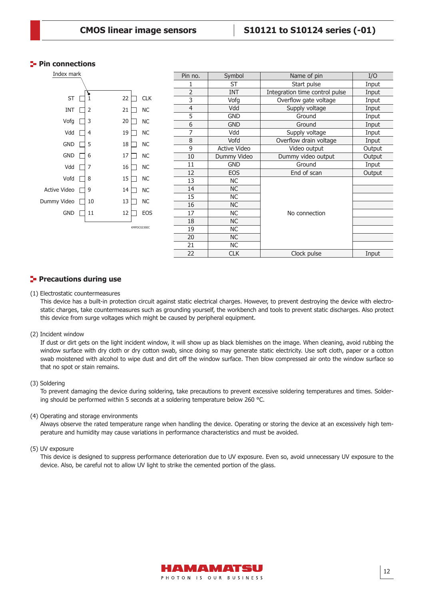#### **Pin connections**



#### **Precautions during use**

#### (1) Electrostatic countermeasures

This device has a built-in protection circuit against static electrical charges. However, to prevent destroying the device with electrostatic charges, take countermeasures such as grounding yourself, the workbench and tools to prevent static discharges. Also protect this device from surge voltages which might be caused by peripheral equipment.

(2) Incident window

If dust or dirt gets on the light incident window, it will show up as black blemishes on the image. When cleaning, avoid rubbing the window surface with dry cloth or dry cotton swab, since doing so may generate static electricity. Use soft cloth, paper or a cotton swab moistened with alcohol to wipe dust and dirt off the window surface. Then blow compressed air onto the window surface so that no spot or stain remains.

#### (3) Soldering

To prevent damaging the device during soldering, take precautions to prevent excessive soldering temperatures and times. Soldering should be performed within 5 seconds at a soldering temperature below 260 °C.

#### (4) Operating and storage environments

Always observe the rated temperature range when handling the device. Operating or storing the device at an excessively high temperature and humidity may cause variations in performance characteristics and must be avoided.

#### (5) UV exposure

This device is designed to suppress performance deterioration due to UV exposure. Even so, avoid unnecessary UV exposure to the device. Also, be careful not to allow UV light to strike the cemented portion of the glass.